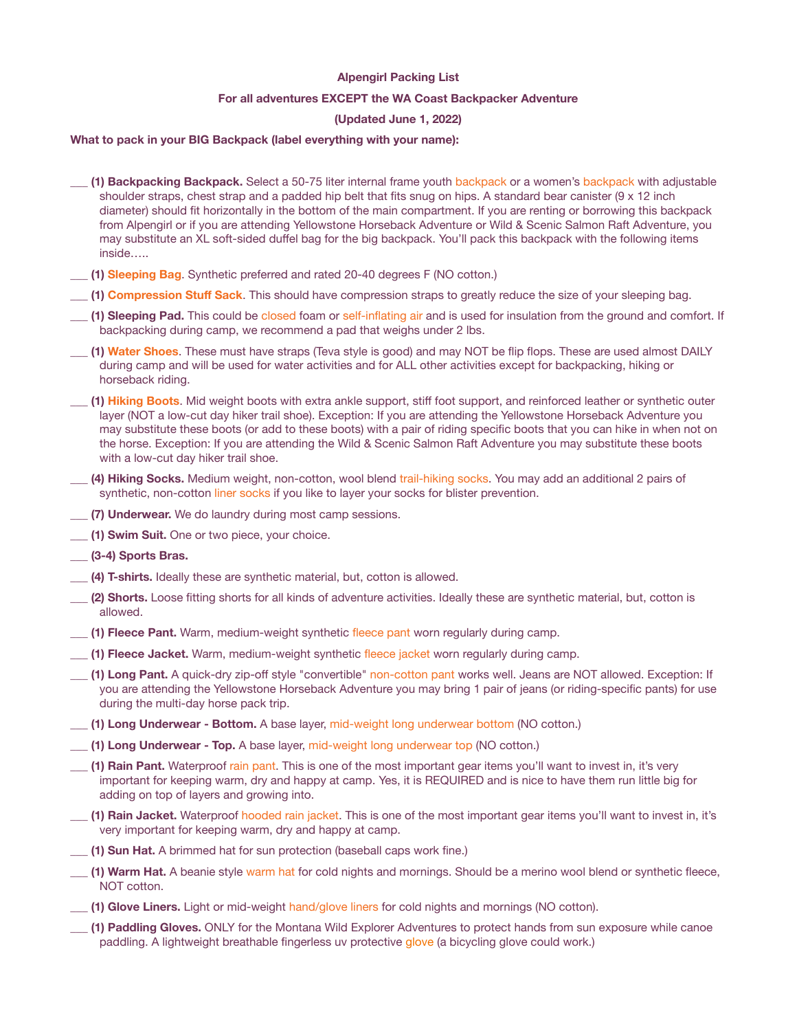### **Alpengirl Packing List**

### **For all adventures EXCEPT the WA Coast Backpacker Adventure**

## **(Updated June 1, 2022)**

### **What to pack in your BIG Backpack (label everything with your name):**

- \_\_\_ **(1) Backpacking Backpack.** Select a 50-75 liter internal frame youth [backpack](https://www.rei.com/product/878459/osprey-ace-50-pack-kids?sku=8784590001&store=136&cm_mmc=PLA_Google_LIA%7C404_194457%7C8784590001%7Cnone%7C3def8b55-8c95-48fd-b1b5-97b907b3c6ee%7Caud-553371945779:pla-306934641723&lsft=cm_mmc:PLA_Google_LIA%7C404_194457%7C8784590001%7Cnone%7C3def8b55-8c95-48fd-b1b5-97b907b3c6ee&kclid=3def8b55-8c95-48fd-b1b5-97b907b3c6ee&gclid=CjwKCAiAwojkBRBbEiwAeRcJZEehA_1yAa5-1_aAhLWNvnQjxsBlZGqSaeYjKU3cufy5exZRdFStwRoCkyQQAvD_BwE) or a women's [backpack](https://www.rei.com/product/144663/osprey-renn-65-pack-womens) with adjustable shoulder straps, chest strap and a padded hip belt that fits snug on hips. A standard bear canister (9 x 12 inch diameter) should fit horizontally in the bottom of the main compartment. If you are renting or borrowing this backpack from Alpengirl or if you are attending Yellowstone Horseback Adventure or Wild & Scenic Salmon Raft Adventure, you may substitute an XL soft-sided duffel bag for the big backpack. You'll pack this backpack with the following items inside…..
- \_\_\_ **(1) [Sleeping Bag](https://www.rei.com/product/107476/marmot-trestles-30-sleeping-bag-womens)**. Synthetic preferred and rated 20-40 degrees F (NO cotton.)
- \_\_\_ **(1) [Compression Stu](https://www.rei.com/product/118854/rei-co-op-lightweight-compression-stuff-sack?sku=1188540003&store=136&cm_mmc=PLA_Google_LIA%7C404_1050516181%7C1188540003%7Cnone%7C3def8b55-8c95-48fd-b1b5-97b907b3c6ee%7Caud-553371945779:pla-489509931006&lsft=cm_mmc:PLA_Google_LIA%7C404_1050516181%7C1188540003%7Cnone%7C3def8b55-8c95-48fd-b1b5-97b907b3c6ee&kclid=3def8b55-8c95-48fd-b1b5-97b907b3c6ee&gclid=CjwKCAiAwojkBRBbEiwAeRcJZHdhL0k50EDZ1RX5eNzj0mFOis831_KTTx1wbPoai9oEVzfIbvKpShoC2gUQAvD_BwE)ff Sack**. This should have compression straps to greatly reduce the size of your sleeping bag.
	- \_\_\_ **(1) Sleeping Pad.** This could be [closed](https://www.rei.com/product/810386/therm-a-rest-ridgerest-solite-sleeping-pad) foam or [self-inflating](https://www.rei.com/product/105156/big-agnes-air-core-ultra-sleeping-pad) air and is used for insulation from the ground and comfort. If backpacking during camp, we recommend a pad that weighs under 2 lbs.
- \_\_\_ **(1) [Water Shoes](https://www.campmor.com/products/teva-verra-sandals-womens)**. These must have straps (Teva style is good) and may NOT be flip flops. These are used almost DAILY during camp and will be used for water activities and for ALL other activities except for backpacking, hiking or horseback riding.
- \_**\_\_ (1) [Hiking Boots](https://www.campmor.com/products/merrell-moab-2-vent-mid-hiking-boot-womens)**. Mid weight boots with extra ankle support, stiff foot support, and reinforced leather or synthetic outer layer (NOT a low-cut day hiker trail shoe). Exception: If you are attending the Yellowstone Horseback Adventure you may substitute these boots (or add to these boots) with a pair of riding specific boots that you can hike in when not on the horse. Exception: If you are attending the Wild & Scenic Salmon Raft Adventure you may substitute these boots with a low-cut day hiker trail shoe.
- \_\_\_ **(4) Hiking Socks.** Medium weight, non-cotton, wool blend [trail-hiking socks](https://www.rei.com/product/128820/darn-tough-hiker-boot-sock-cushion-socks-womens). You may add an additional 2 pairs of synthetic, non-cotton [liner socks](https://www.campmor.com/products/coolmax-liner-sock) if you like to layer your socks for blister prevention.
- \_\_\_ **(7) Underwear.** We do laundry during most camp sessions.
- (1) Swim Suit. One or two piece, your choice.
- \_\_\_ **(3-4) Sports Bras.**
- \_\_\_ **(4) T-shirts.** Ideally these are synthetic material, but, cotton is allowed.
- \_\_\_ **(2) Shorts.** Loose fitting shorts for all kinds of adventure activities. Ideally these are synthetic material, but, cotton is allowed.
- \_\_\_ **(1) Fleece Pant.** Warm, medium-weight synthetic [fleece pant](https://www.rei.com/product/127446/rei-co-op-teton-fleece-pants-womens-tall) worn regularly during camp.
- \_\_\_ **(1) Fleece Jacket.** Warm, medium-weight synthetic [fleece jacket](https://www.campmor.com/collections/columbia/products/columbia-fast-trek-ii-fleece-jacket-womens) worn regularly during camp.
- \_\_\_ **(1) Long Pant.** A quick-dry zip-off style "convertible" [non-cotton pant](https://www.campmor.com/products/columbia-silver-ridge-iv-convertible-pants-girls) works well. Jeans are NOT allowed. Exception: If you are attending the Yellowstone Horseback Adventure you may bring 1 pair of jeans (or riding-specific pants) for use during the multi-day horse pack trip.
- \_\_\_ **(1) Long Underwear Bottom.** A base layer, [mid-weight long underwear bottom](https://www.rei.com/product/121928/rei-co-op-midweight-base-layer-tights-womens) (NO cotton.)
- \_\_\_ **(1) Long Underwear Top.** A base layer, [mid-weight long underwear top](https://www.campmor.com/products/terramar-2-0-cloud-nine-cs-midweight-long-sleeve-scoopneck-shirt-womens) (NO cotton.)
- \_\_\_ **(1) Rain Pant.** Waterproof [rain pant.](https://www.rei.com/product/137553/rei-co-op-essential-rain-pants-womens) This is one of the most important gear items you'll want to invest in, it's very important for keeping warm, dry and happy at camp. Yes, it is REQUIRED and is nice to have them run little big for adding on top of layers and growing into.
- \_\_\_ **(1) Rain Jacket.** Waterproof [hooded rain jacket](https://www.rei.com/product/127274/rei-co-op-rainier-rain-jacket-womens). This is one of the most important gear items you'll want to invest in, it's very important for keeping warm, dry and happy at camp.
- \_\_\_ **(1) Sun Hat.** A brimmed hat for sun protection (baseball caps work fine.)
- \_\_\_ **(1) Warm Hat.** A beanie style [warm hat](https://pistildesigns.com/products/sidekick?variant=12234861543513&_vsrefdom=adwords&gclid=CjwKCAiAwojkBRBbEiwAeRcJZMY2mbxJjX43w_t69fdqYiBpqA_jmJq_keJwGUAqFiiAPLe36Gi36BoC8UsQAvD_BwE) for cold nights and mornings. Should be a merino wool blend or synthetic fleece, NOT cotton.
- \_\_\_ **(1) Glove Liners.** Light or mid-weight [hand/glove liners](https://www.campmor.com/products/terramar-thermasilk-cs-silk-glove-liners-youth) for cold nights and mornings (NO cotton).
- \_\_\_ **(1) Paddling Gloves.** ONLY for the Montana Wild Explorer Adventures to protect hands from sun exposure while canoe paddling. A lightweight breathable fingerless uv protective [glove](https://kastking.com/products/kastking-sol-armis-sun-gloves?variant=35881217884310) (a bicycling glove could work.)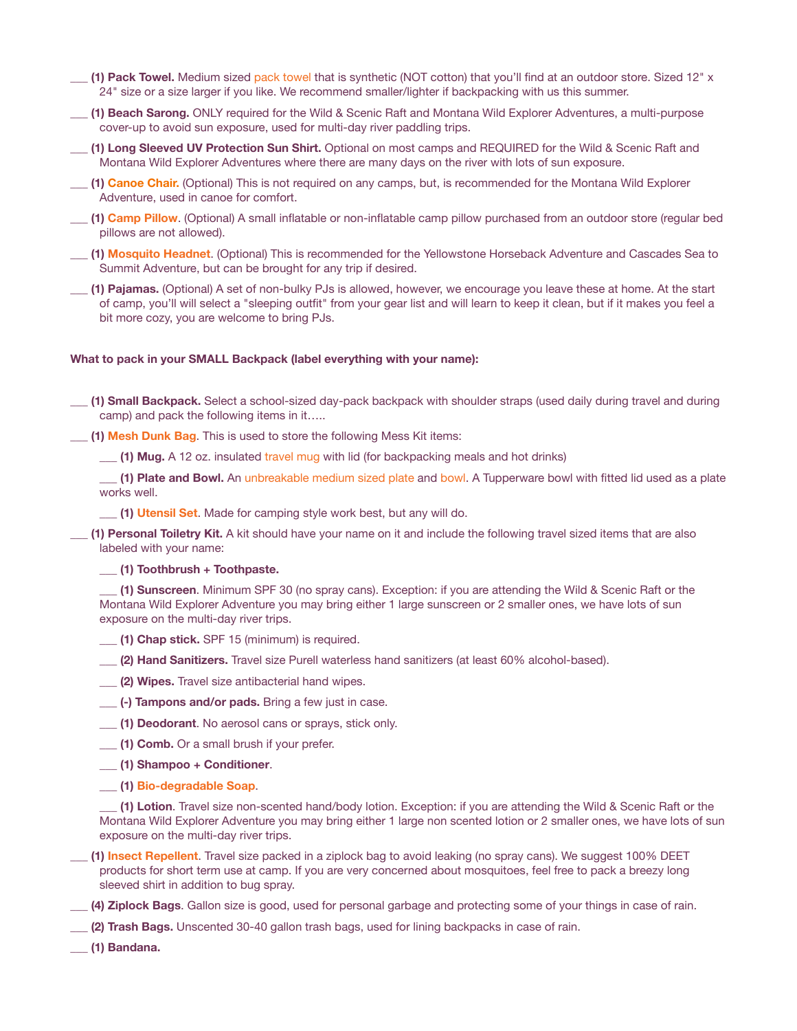- \_\_\_ **(1) Pack Towel.** Medium sized [pack towel](https://www.rei.com/product/127504/rei-co-op-multi-towel-lite) that is synthetic (NOT cotton) that you'll find at an outdoor store. Sized 12" x 24" size or a size larger if you like. We recommend smaller/lighter if backpacking with us this summer.
- \_\_\_ **(1) Beach Sarong.** ONLY required for the Wild & Scenic Raft and Montana Wild Explorer Adventures, a multi-purpose cover-up to avoid sun exposure, used for multi-day river paddling trips.
- \_\_\_ **(1) Long Sleeved UV Protection Sun Shirt.** Optional on most camps and REQUIRED for the Wild & Scenic Raft and Montana Wild Explorer Adventures where there are many days on the river with lots of sun exposure.
- \_\_\_ **(1) [Canoe Chair.](https://www.rei.com/product/136449/rei-co-op-trail-chair)** (Optional) This is not required on any camps, but, is recommended for the Montana Wild Explorer Adventure, used in canoe for comfort.
- \_\_\_ **(1) [Camp Pillow](https://www.campmor.com/collections/just-added/products/thermarest-small-compressible-pillow?_pos=3&_sid=54a16d777&_ss=r)**. (Optional) A small inflatable or non-inflatable camp pillow purchased from an outdoor store (regular bed pillows are not allowed).
- \_\_\_ **(1) [Mosquito Headnet](https://www.campmor.com/products/bens-ultranet-head-net)**. (Optional) This is recommended for the Yellowstone Horseback Adventure and Cascades Sea to Summit Adventure, but can be brought for any trip if desired.
- \_\_\_ **(1) Pajamas.** (Optional) A set of non-bulky PJs is allowed, however, we encourage you leave these at home. At the start of camp, you'll will select a "sleeping outfit" from your gear list and will learn to keep it clean, but if it makes you feel a bit more cozy, you are welcome to bring PJs.

#### **What to pack in your SMALL Backpack (label everything with your name):**

\_\_\_ **(1) Small Backpack.** Select a school-sized day-pack backpack with shoulder straps (used daily during travel and during camp) and pack the following items in it…..

\_\_\_ **(1) [Mesh Dunk Bag](https://www.campmor.com/products/campmor-heavy-duty-dunk-and-stuff-bag-15-in-x-22-in)**. This is used to store the following Mess Kit items:

\_\_\_ **(1) Mug.** A 12 oz. insulated [travel mug](https://www.rei.com/product/884337/gsi-outdoors-infinity-backpacker-mug) with lid (for backpacking meals and hot drinks)

\_\_\_ **(1) Plate and Bowl.** An [unbreakable medium sized plate](https://www.campmor.com/products/gsi-outdoors-cascadian-plate) and [bowl.](https://www.rei.com/product/782971/sea-to-summit-delta-bowl) A Tupperware bowl with fitted lid used as a plate works well.

\_\_\_ **(1) [Utensil Set](https://www.rei.com/product/895456/gsi-outdoors-3-piece-ring-cutlery-set)**. Made for camping style work best, but any will do.

\_\_\_ **(1) Personal Toiletry Kit.** A kit should have your name on it and include the following travel sized items that are also labeled with your name:

\_\_\_ **(1) Toothbrush + Toothpaste.**

\_\_\_ **(1) Sunscreen**. Minimum SPF 30 (no spray cans). Exception: if you are attending the Wild & Scenic Raft or the Montana Wild Explorer Adventure you may bring either 1 large sunscreen or 2 smaller ones, we have lots of sun exposure on the multi-day river trips.

- \_\_\_ **(1) Chap stick.** SPF 15 (minimum) is required.
- \_\_\_ **(2) Hand Sanitizers.** Travel size Purell waterless hand sanitizers (at least 60% alcohol-based).
- \_\_\_ **(2) Wipes.** Travel size antibacterial hand wipes.
- \_\_\_ **(-) Tampons and/or pads.** Bring a few just in case.
- \_\_\_ **(1) Deodorant**. No aerosol cans or sprays, stick only.
- \_\_\_ **(1) Comb.** Or a small brush if your prefer.
- \_\_\_ **(1) Shampoo + Conditioner**.
- \_\_\_ **(1) [Bio-degradable Soap](https://www.campmor.com/collections/dr-bronners/products/dr-bronners-castile-liquid-soap)**.

\_\_\_ **(1) Lotion**. Travel size non-scented hand/body lotion. Exception: if you are attending the Wild & Scenic Raft or the Montana Wild Explorer Adventure you may bring either 1 large non scented lotion or 2 smaller ones, we have lots of sun exposure on the multi-day river trips.

- \_\_\_ **(1) [Insect Repellent](http://www.rei.com/product/784606/bens-100-max-formula-insect-repellent-125-oz)**. Travel size packed in a ziplock bag to avoid leaking (no spray cans). We suggest 100% DEET products for short term use at camp. If you are very concerned about mosquitoes, feel free to pack a breezy long sleeved shirt in addition to bug spray.
- \_\_\_ **(4) Ziplock Bags**. Gallon size is good, used for personal garbage and protecting some of your things in case of rain.
- \_\_\_ **(2) Trash Bags.** Unscented 30-40 gallon trash bags, used for lining backpacks in case of rain.
- \_\_\_ **(1) Bandana.**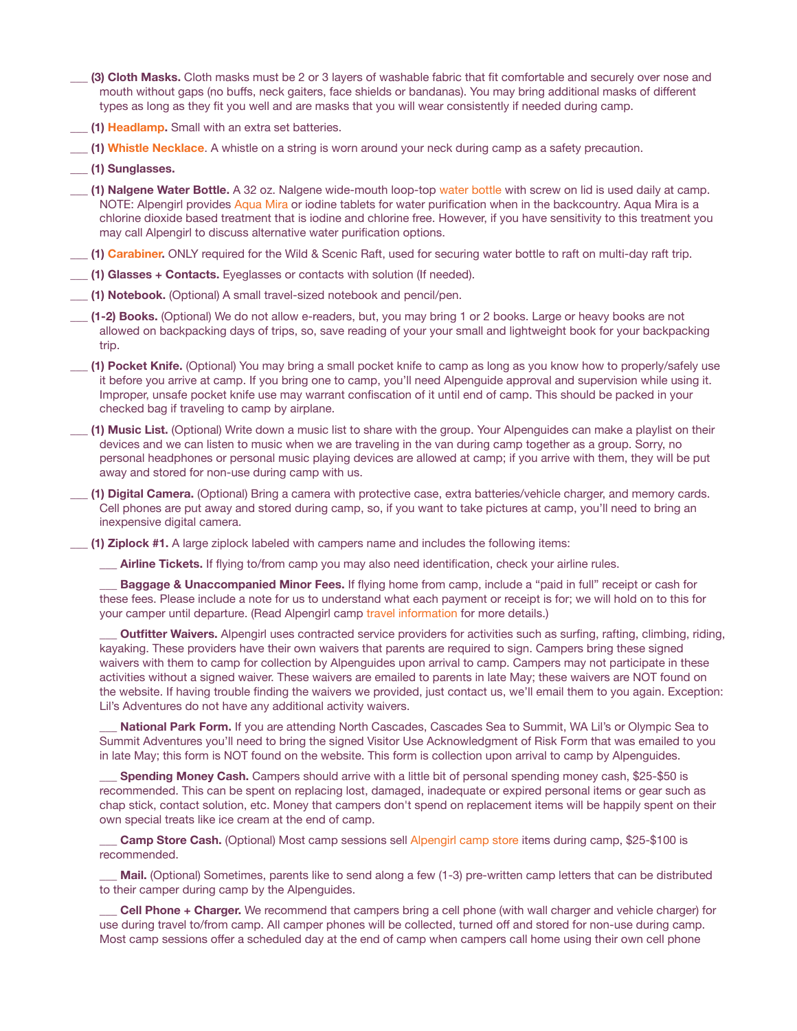- **(3) Cloth Masks.** Cloth masks must be 2 or 3 layers of washable fabric that fit comfortable and securely over nose and mouth without gaps (no buffs, neck gaiters, face shields or bandanas). You may bring additional masks of different types as long as they fit you well and are masks that you will wear consistently if needed during camp.
- \_\_\_ **(1) [Headlamp](https://www.rei.com/product/109856/petzl-tikka-headlamp).** Small with an extra set batteries.
- \_\_\_ **(1) [Whistle Necklace](https://www.campmor.com/c/coghlans-safety-whistle-88089)**. A whistle on a string is worn around your neck during camp as a safety precaution.
- \_\_\_ **(1) Sunglasses.**
- \_\_\_ **(1) Nalgene Water Bottle.** A 32 oz. Nalgene wide-mouth loop-top [water bottle](https://www.rei.com/product/141628/nalgene-wide-mouth-water-bottle-32-fl-oz) with screw on lid is used daily at camp. NOTE: Alpengirl provides [Aqua Mira](http://aquamira.com/consumer/aquamira-water-treatment-drops/) or iodine tablets for water purification when in the backcountry. Aqua Mira is a chlorine dioxide based treatment that is iodine and chlorine free. However, if you have sensitivity to this treatment you may call Alpengirl to discuss alternative water purification options.

\_\_\_ **(1) [Carabiner.](https://www.rei.com/product/169034/black-diamond-litewire-carabiner)** ONLY required for the Wild & Scenic Raft, used for securing water bottle to raft on multi-day raft trip.

- \_\_\_ **(1) Glasses + Contacts.** Eyeglasses or contacts with solution (If needed).
- \_\_\_ **(1) Notebook.** (Optional) A small travel-sized notebook and pencil/pen.
- \_\_\_ **(1-2) Books.** (Optional) We do not allow e-readers, but, you may bring 1 or 2 books. Large or heavy books are not allowed on backpacking days of trips, so, save reading of your your small and lightweight book for your backpacking trip.
- \_\_\_ **(1) Pocket Knife.** (Optional) You may bring a small pocket knife to camp as long as you know how to properly/safely use it before you arrive at camp. If you bring one to camp, you'll need Alpenguide approval and supervision while using it. Improper, unsafe pocket knife use may warrant confiscation of it until end of camp. This should be packed in your checked bag if traveling to camp by airplane.
- \_\_\_ **(1) Music List.** (Optional) Write down a music list to share with the group. Your Alpenguides can make a playlist on their devices and we can listen to music when we are traveling in the van during camp together as a group. Sorry, no personal headphones or personal music playing devices are allowed at camp; if you arrive with them, they will be put away and stored for non-use during camp with us.
- \_\_\_ **(1) Digital Camera.** (Optional) Bring a camera with protective case, extra batteries/vehicle charger, and memory cards. Cell phones are put away and stored during camp, so, if you want to take pictures at camp, you'll need to bring an inexpensive digital camera.

**\_\_\_ (1) Ziplock #1.** A large ziplock labeled with campers name and includes the following items:

Airline Tickets. If flying to/from camp you may also need identification, check your airline rules.

\_\_\_ **Baggage & Unaccompanied Minor Fees.** If flying home from camp, include a "paid in full" receipt or cash for these fees. Please include a note for us to understand what each payment or receipt is for; we will hold on to this for your camper until departure. (Read Alpengirl camp [travel information](https://www.alpengirlcamp.com/pre-trip-planning/camp-travel-information) for more details.)

\_\_\_ **Outfitter Waivers.** Alpengirl uses contracted service providers for activities such as surfing, rafting, climbing, riding, kayaking. These providers have their own waivers that parents are required to sign. Campers bring these signed waivers with them to camp for collection by Alpenguides upon arrival to camp. Campers may not participate in these activities without a signed waiver. These waivers are emailed to parents in late May; these waivers are NOT found on the website. If having trouble finding the waivers we provided, just contact us, we'll email them to you again. Exception: Lil's Adventures do not have any additional activity waivers.

\_\_\_ **National Park Form.** If you are attending North Cascades, Cascades Sea to Summit, WA Lil's or Olympic Sea to Summit Adventures you'll need to bring the signed Visitor Use Acknowledgment of Risk Form that was emailed to you in late May; this form is NOT found on the website. This form is collection upon arrival to camp by Alpenguides.

\_\_\_ **Spending Money Cash.** Campers should arrive with a little bit of personal spending money cash, \$25-\$50 is recommended. This can be spent on replacing lost, damaged, inadequate or expired personal items or gear such as chap stick, contact solution, etc. Money that campers don't spend on replacement items will be happily spent on their own special treats like ice cream at the end of camp.

**Camp Store Cash.** (Optional) Most camp sessions sell [Alpengirl camp store](https://www.alpengirlcamp.com/pre-trip-planning/adventure-camp-lifestyle/camp-store) items during camp, \$25-\$100 is recommended.

Mail. (Optional) Sometimes, parents like to send along a few (1-3) pre-written camp letters that can be distributed to their camper during camp by the Alpenguides.

\_\_\_ **Cell Phone + Charger.** We recommend that campers bring a cell phone (with wall charger and vehicle charger) for use during travel to/from camp. All camper phones will be collected, turned off and stored for non-use during camp. Most camp sessions offer a scheduled day at the end of camp when campers call home using their own cell phone